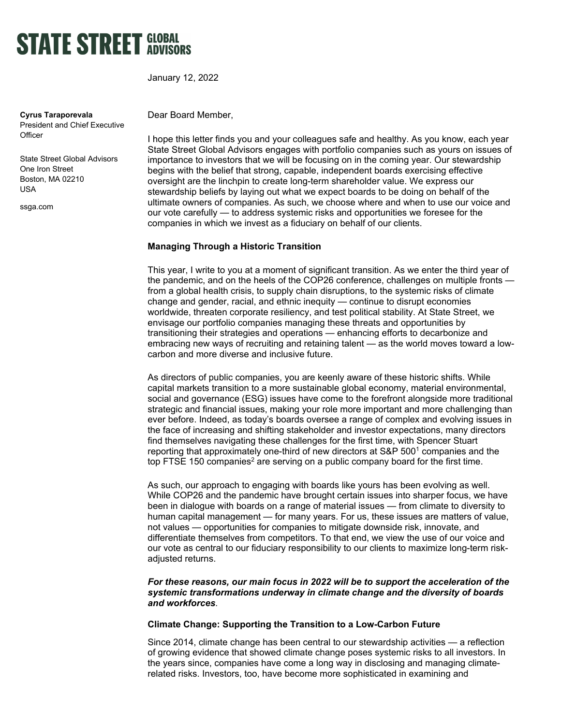

January 12, 2022

**Cyrus Taraporevala** President and Chief Executive **Officer** 

State Street Global Advisors One Iron Street Boston, MA 02210 USA

ssga.com

Dear Board Member,

I hope this letter finds you and your colleagues safe and healthy. As you know, each year State Street Global Advisors engages with portfolio companies such as yours on issues of importance to investors that we will be focusing on in the coming year. Our stewardship begins with the belief that strong, capable, independent boards exercising effective oversight are the linchpin to create long-term shareholder value. We express our stewardship beliefs by laying out what we expect boards to be doing on behalf of the ultimate owners of companies. As such, we choose where and when to use our voice and our vote carefully — to address systemic risks and opportunities we foresee for the companies in which we invest as a fiduciary on behalf of our clients.

### **Managing Through a Historic Transition**

This year, I write to you at a moment of significant transition. As we enter the third year of the pandemic, and on the heels of the COP26 conference, challenges on multiple fronts from a global health crisis, to supply chain disruptions, to the systemic risks of climate change and gender, racial, and ethnic inequity — continue to disrupt economies worldwide, threaten corporate resiliency, and test political stability. At State Street, we envisage our portfolio companies managing these threats and opportunities by transitioning their strategies and operations — enhancing efforts to decarbonize and embracing new ways of recruiting and retaining talent — as the world moves toward a lowcarbon and more diverse and inclusive future.

As directors of public companies, you are keenly aware of these historic shifts. While capital markets transition to a more sustainable global economy, material environmental, social and governance (ESG) issues have come to the forefront alongside more traditional strategic and financial issues, making your role more important and more challenging than ever before. Indeed, as today's boards oversee a range of complex and evolving issues in the face of increasing and shifting stakeholder and investor expectations, many directors find themselves navigating these challenges for the first time, with Spencer Stuart reporting that approximately one-third of new directors at  $S\&P 500<sup>1</sup>$  companies and the top FTSE 150 companies<sup>2</sup> are serving on a public company board for the first time.

As such, our approach to engaging with boards like yours has been evolving as well. While COP26 and the pandemic have brought certain issues into sharper focus, we have been in dialogue with boards on a range of material issues — from climate to diversity to human capital management — for many years. For us, these issues are matters of value, not values — opportunities for companies to mitigate downside risk, innovate, and differentiate themselves from competitors. To that end, we view the use of our voice and our vote as central to our fiduciary responsibility to our clients to maximize long-term riskadjusted returns.

### *For these reasons, our main focus in 2022 will be to support the acceleration of the systemic transformations underway in climate change and the diversity of boards and workforces.*

### **Climate Change: Supporting the Transition to a Low-Carbon Future**

Since 2014, climate change has been central to our stewardship activities — a reflection of growing evidence that showed climate change poses systemic risks to all investors. In the years since, companies have come a long way in disclosing and managing climaterelated risks. Investors, too, have become more sophisticated in examining and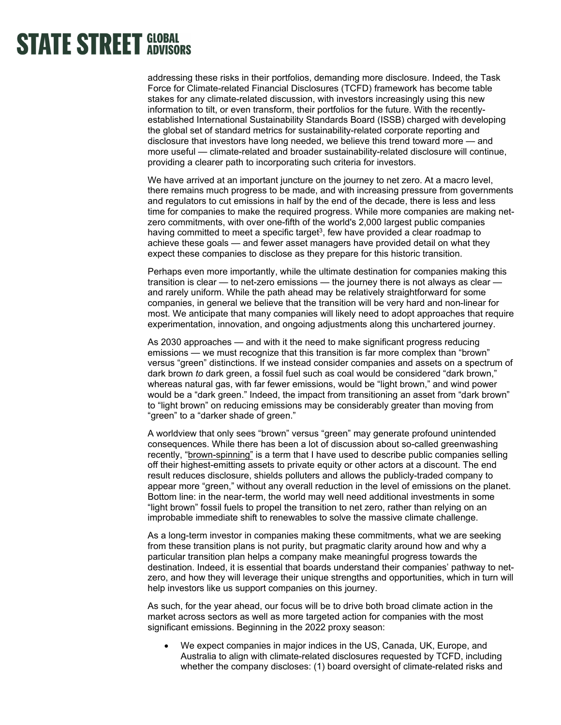addressing these risks in their portfolios, demanding more disclosure. Indeed, the Task Force for Climate-related Financial Disclosures (TCFD) framework has become table stakes for any climate-related discussion, with investors increasingly using this new information to tilt, or even transform, their portfolios for the future. With the recentlyestablished International Sustainability Standards Board (ISSB) charged with developing the global set of standard metrics for sustainability-related corporate reporting and disclosure that investors have long needed, we believe this trend toward more — and more useful — climate-related and broader sustainability-related disclosure will continue, providing a clearer path to incorporating such criteria for investors.

We have arrived at an important juncture on the journey to net zero. At a macro level, there remains much progress to be made, and with increasing pressure from governments and regulators to cut emissions in half by the end of the decade, there is less and less time for companies to make the required progress. While more companies are making netzero commitments, with over one-fifth of the world's 2,000 largest public companies having committed to meet a specific target $^3$ , few have provided a clear roadmap to achieve these goals — and fewer asset managers have provided detail on what they expect these companies to disclose as they prepare for this historic transition.

Perhaps even more importantly, while the ultimate destination for companies making this transition is clear — to net-zero emissions — the journey there is not always as clear and rarely uniform. While the path ahead may be relatively straightforward for some companies, in general we believe that the transition will be very hard and non-linear for most. We anticipate that many companies will likely need to adopt approaches that require experimentation, innovation, and ongoing adjustments along this unchartered journey.

As 2030 approaches — and with it the need to make significant progress reducing emissions — we must recognize that this transition is far more complex than "brown" versus "green" distinctions. If we instead consider companies and assets on a spectrum of dark brown *to* dark green, a fossil fuel such as coal would be considered "dark brown," whereas natural gas, with far fewer emissions, would be "light brown," and wind power would be a "dark green." Indeed, the impact from transitioning an asset from "dark brown" to "light brown" on reducing emissions may be considerably greater than moving from "green" to a "darker shade of green."

A worldview that only sees "brown" versus "green" may generate profound unintended consequences. While there has been a lot of discussion about so-called greenwashing recently, ["brown-spinning"](https://www.ssga.com/library-content/pdfs/global/financial-times-cyrus.pdf) is a term that I have used to describe public companies selling off their highest-emitting assets to private equity or other actors at a discount. The end result reduces disclosure, shields polluters and allows the publicly-traded company to appear more "green," without any overall reduction in the level of emissions on the planet. Bottom line: in the near-term, the world may well need additional investments in some "light brown" fossil fuels to propel the transition to net zero, rather than relying on an improbable immediate shift to renewables to solve the massive climate challenge.

As a long-term investor in companies making these commitments, what we are seeking from these transition plans is not purity, but pragmatic clarity around how and why a particular transition plan helps a company make meaningful progress towards the destination. Indeed, it is essential that boards understand their companies' pathway to netzero, and how they will leverage their unique strengths and opportunities, which in turn will help investors like us support companies on this journey.

As such, for the year ahead, our focus will be to drive both broad climate action in the market across sectors as well as more targeted action for companies with the most significant emissions. Beginning in the 2022 proxy season:

• We expect companies in major indices in the US, Canada, UK, Europe, and Australia to align with climate-related disclosures requested by TCFD, including whether the company discloses: (1) board oversight of climate-related risks and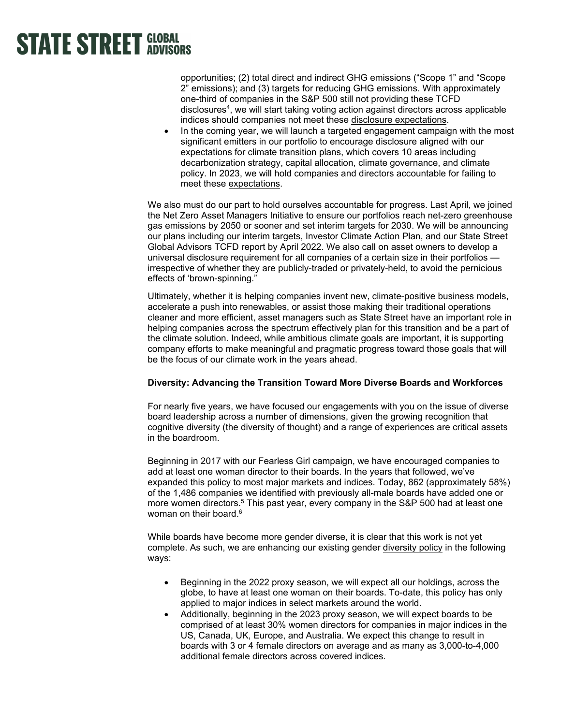opportunities; (2) total direct and indirect GHG emissions ("Scope 1" and "Scope 2" emissions); and (3) targets for reducing GHG emissions. With approximately one-third of companies in the S&P 500 still not providing these TCFD disclosures<sup>4</sup>, we will start taking voting action against directors across applicable indices should companies not meet these [disclosure expectations.](https://www.ssga.com/library-content/pdfs/asset-stewardship/guidance-on-climate-related-disclosures.pdf)

In the coming year, we will launch a targeted engagement campaign with the most significant emitters in our portfolio to encourage disclosure aligned with our expectations for climate transition plans, which covers 10 areas including decarbonization strategy, capital allocation, climate governance, and climate policy. In 2023, we will hold companies and directors accountable for failing to meet these [expectations.](https://www.ssga.com/library-content/pdfs/asset-stewardship/disclosure-expectations-for-effective-climate-transition-plans.pdf)

We also must do our part to hold ourselves accountable for progress. Last April, we joined the Net Zero Asset Managers Initiative to ensure our portfolios reach net-zero greenhouse gas emissions by 2050 or sooner and set interim targets for 2030. We will be announcing our plans including our interim targets, Investor Climate Action Plan, and our State Street Global Advisors TCFD report by April 2022. We also call on asset owners to develop a universal disclosure requirement for all companies of a certain size in their portfolios irrespective of whether they are publicly-traded or privately-held, to avoid the pernicious effects of 'brown-spinning."

Ultimately, whether it is helping companies invent new, climate-positive business models, accelerate a push into renewables, or assist those making their traditional operations cleaner and more efficient, asset managers such as State Street have an important role in helping companies across the spectrum effectively plan for this transition and be a part of the climate solution. Indeed, while ambitious climate goals are important, it is supporting company efforts to make meaningful and pragmatic progress toward those goals that will be the focus of our climate work in the years ahead.

### **Diversity: Advancing the Transition Toward More Diverse Boards and Workforces**

For nearly five years, we have focused our engagements with you on the issue of diverse board leadership across a number of dimensions, given the growing recognition that cognitive diversity (the diversity of thought) and a range of experiences are critical assets in the boardroom.

Beginning in 2017 with our Fearless Girl campaign, we have encouraged companies to add at least one woman director to their boards. In the years that followed, we've expanded this policy to most major markets and indices. Today, 862 (approximately 58%) of the 1,486 companies we identified with previously all-male boards have added one or more women directors.<sup>5</sup> This past year, every company in the S&P 500 had at least one woman on their board.<sup>6</sup>

While boards have become more gender diverse, it is clear that this work is not yet complete. As such, we are enhancing our existing gender [diversity policy](https://www.ssga.com/library-content/pdfs/asset-stewardship/guidance-on-diversity-disclosures-practices.pdf) in the following ways:

- Beginning in the 2022 proxy season, we will expect all our holdings, across the globe, to have at least one woman on their boards. To-date, this policy has only applied to major indices in select markets around the world.
- Additionally, beginning in the 2023 proxy season, we will expect boards to be comprised of at least 30% women directors for companies in major indices in the US, Canada, UK, Europe, and Australia. We expect this change to result in boards with 3 or 4 female directors on average and as many as 3,000-to-4,000 additional female directors across covered indices.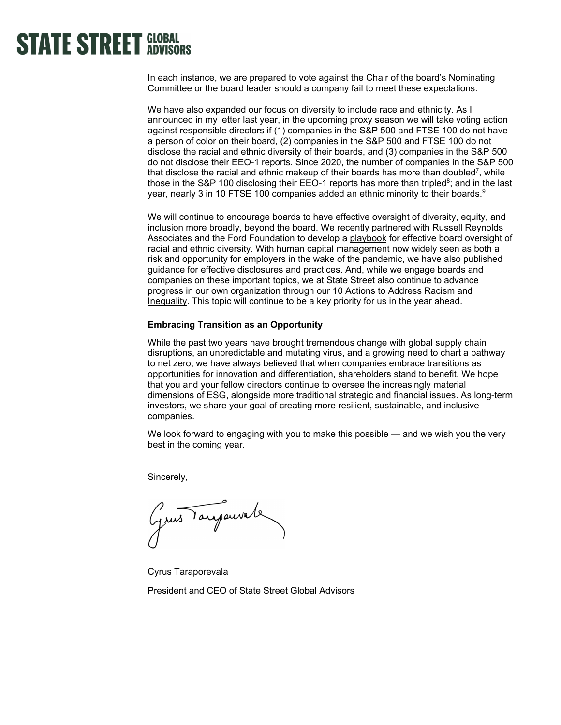In each instance, we are prepared to vote against the Chair of the board's Nominating Committee or the board leader should a company fail to meet these expectations.

We have also expanded our focus on diversity to include race and ethnicity. As I announced in my letter last year, in the upcoming proxy season we will take voting action against responsible directors if (1) companies in the S&P 500 and FTSE 100 do not have a person of color on their board, (2) companies in the S&P 500 and FTSE 100 do not disclose the racial and ethnic diversity of their boards, and (3) companies in the S&P 500 do not disclose their EEO-1 reports. Since 2020, the number of companies in the S&P 500 that disclose the racial and ethnic makeup of their boards has more than doubled<sup>7</sup>, while those in the S&P 100 disclosing their EEO-1 reports has more than tripled<sup>8</sup>; and in the last year, nearly 3 in 10 FTSE 100 companies added an ethnic minority to their boards.<sup>9</sup>

We will continue to encourage boards to have effective oversight of diversity, equity, and inclusion more broadly, beyond the board. We recently partnered with Russell Reynolds Associates and the Ford Foundation to develop a [playbook](https://www.ssga.com/library-content/pdfs/global/boards-oversight-of-racial-and-ethnic-diversity.pdf) for effective board oversight of racial and ethnic diversity. With human capital management now widely seen as both a risk and opportunity for employers in the wake of the pandemic, we have also published guidance for effective disclosures and practices. And, while we engage boards and companies on these important topics, we at State Street also continue to advance progress in our own organization through our [10 Actions to Address Racism and](https://www.statestreet.com/values/inclusion-diversity/10-actions-to-address-racism-and-inequality.html)  [Inequality.](https://www.statestreet.com/values/inclusion-diversity/10-actions-to-address-racism-and-inequality.html) This topic will continue to be a key priority for us in the year ahead.

### **Embracing Transition as an Opportunity**

While the past two years have brought tremendous change with global supply chain disruptions, an unpredictable and mutating virus, and a growing need to chart a pathway to net zero, we have always believed that when companies embrace transitions as opportunities for innovation and differentiation, shareholders stand to benefit. We hope that you and your fellow directors continue to oversee the increasingly material dimensions of ESG, alongside more traditional strategic and financial issues. As long-term investors, we share your goal of creating more resilient, sustainable, and inclusive companies.

We look forward to engaging with you to make this possible — and we wish you the very best in the coming year.

Sincerely,

Grus Tarjauvale

Cyrus Taraporevala

President and CEO of State Street Global Advisors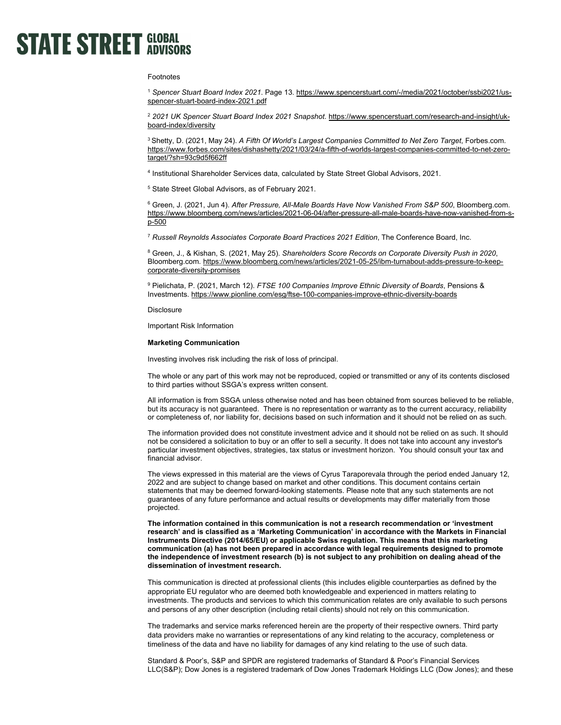### Footnotes

<sup>1</sup> *Spencer Stuart Board Index 2021*. Page 13[. https://www.spencerstuart.com/-/media/2021/october/ssbi2021/us](https://www.spencerstuart.com/-/media/2021/october/ssbi2021/us-spencer-stuart-board-index-2021.pdf)[spencer-stuart-board-index-2021.pdf](https://www.spencerstuart.com/-/media/2021/october/ssbi2021/us-spencer-stuart-board-index-2021.pdf)

<sup>2</sup> *2021 UK Spencer Stuart Board Index 2021 Snapshot*. [https://www.spencerstuart.com/research-and-insight/uk](https://www.spencerstuart.com/research-and-insight/uk-board-index/diversity)[board-index/diversity](https://www.spencerstuart.com/research-and-insight/uk-board-index/diversity)

3 Shetty, D. (2021, May 24). *A Fifth Of World's Largest Companies Committed to Net Zero Target*, Forbes.com. [https://www.forbes.com/sites/dishashetty/2021/03/24/a-fifth-of-worlds-largest-companies-committed-to-net-zero](https://www.forbes.com/sites/dishashetty/2021/03/24/a-fifth-of-worlds-largest-companies-committed-to-net-zero-target/?sh=93c9d5f662ff)[target/?sh=93c9d5f662ff](https://www.forbes.com/sites/dishashetty/2021/03/24/a-fifth-of-worlds-largest-companies-committed-to-net-zero-target/?sh=93c9d5f662ff) 

4 Institutional Shareholder Services data, calculated by State Street Global Advisors, 2021.

5 State Street Global Advisors, as of February 2021.

6 Green, J. (2021, Jun 4). *After Pressure, All-Male Boards Have Now Vanished From S&P 500*, Bloomberg.com. [https://www.bloomberg.com/news/articles/2021-06-04/after-pressure-all-male-boards-have-now-vanished-from-s](https://www.bloomberg.com/news/articles/2021-06-04/after-pressure-all-male-boards-have-now-vanished-from-s-p-500)[p-500](https://www.bloomberg.com/news/articles/2021-06-04/after-pressure-all-male-boards-have-now-vanished-from-s-p-500) 

<sup>7</sup> *Russell Reynolds Associates Corporate Board Practices 2021 Edition*, The Conference Board, Inc.

8 Green, J., & Kishan, S. (2021, May 25). *Shareholders Score Records on Corporate Diversity Push in 2020*, Bloomberg.com. [https://www.bloomberg.com/news/articles/2021-05-25/ibm-turnabout-adds-pressure-to-keep](https://www.bloomberg.com/news/articles/2021-05-25/ibm-turnabout-adds-pressure-to-keep-corporate-diversity-promises)[corporate-diversity-promises](https://www.bloomberg.com/news/articles/2021-05-25/ibm-turnabout-adds-pressure-to-keep-corporate-diversity-promises) 

9 Pielichata, P. (2021, March 12). *FTSE 100 Companies Improve Ethnic Diversity of Boards*, Pensions & Investments.<https://www.pionline.com/esg/ftse-100-companies-improve-ethnic-diversity-boards>

**Disclosure** 

Important Risk Information

### **Marketing Communication**

Investing involves risk including the risk of loss of principal.

The whole or any part of this work may not be reproduced, copied or transmitted or any of its contents disclosed to third parties without SSGA's express written consent.

All information is from SSGA unless otherwise noted and has been obtained from sources believed to be reliable, but its accuracy is not guaranteed. There is no representation or warranty as to the current accuracy, reliability or completeness of, nor liability for, decisions based on such information and it should not be relied on as such.

The information provided does not constitute investment advice and it should not be relied on as such. It should not be considered a solicitation to buy or an offer to sell a security. It does not take into account any investor's particular investment objectives, strategies, tax status or investment horizon. You should consult your tax and financial advisor.

The views expressed in this material are the views of Cyrus Taraporevala through the period ended January 12, 2022 and are subject to change based on market and other conditions. This document contains certain statements that may be deemed forward-looking statements. Please note that any such statements are not guarantees of any future performance and actual results or developments may differ materially from those projected.

**The information contained in this communication is not a research recommendation or 'investment research' and is classified as a 'Marketing Communication' in accordance with the Markets in Financial Instruments Directive (2014/65/EU) or applicable Swiss regulation. This means that this marketing communication (a) has not been prepared in accordance with legal requirements designed to promote the independence of investment research (b) is not subject to any prohibition on dealing ahead of the dissemination of investment research.**

This communication is directed at professional clients (this includes eligible counterparties as defined by the appropriate EU regulator who are deemed both knowledgeable and experienced in matters relating to investments. The products and services to which this communication relates are only available to such persons and persons of any other description (including retail clients) should not rely on this communication.

The trademarks and service marks referenced herein are the property of their respective owners. Third party data providers make no warranties or representations of any kind relating to the accuracy, completeness or timeliness of the data and have no liability for damages of any kind relating to the use of such data.

Standard & Poor's, S&P and SPDR are registered trademarks of Standard & Poor's Financial Services LLC(S&P); Dow Jones is a registered trademark of Dow Jones Trademark Holdings LLC (Dow Jones); and these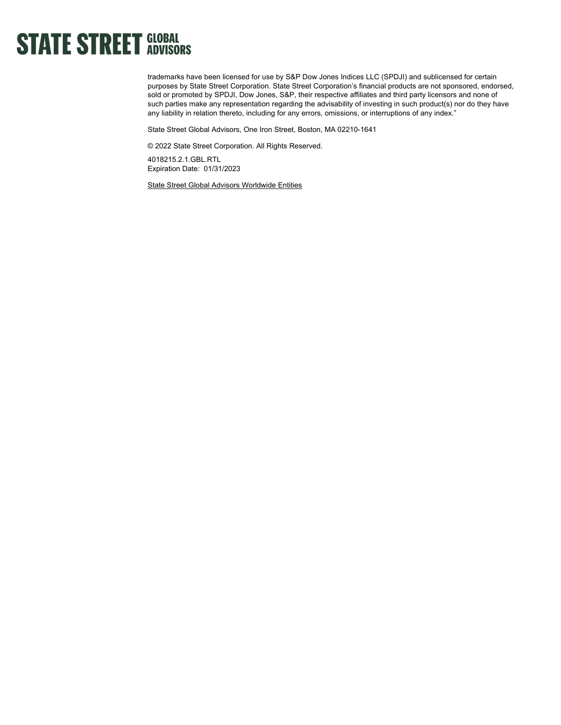trademarks have been licensed for use by S&P Dow Jones Indices LLC (SPDJI) and sublicensed for certain purposes by State Street Corporation. State Street Corporation's financial products are not sponsored, endorsed, sold or promoted by SPDJI, Dow Jones, S&P, their respective affiliates and third party licensors and none of such parties make any representation regarding the advisability of investing in such product(s) nor do they have any liability in relation thereto, including for any errors, omissions, or interruptions of any index."

State Street Global Advisors, One Iron Street, Boston, MA 02210-1641

© 2022 State Street Corporation. All Rights Reserved.

4018215.2.1.GBL.RTL Expiration Date: 01/31/2023

[State Street Global Advisors Worldwide Entities](https://www.ssga.com/us/en/institutional/ic/footer/state-street-global-advisors-worldwide-entities)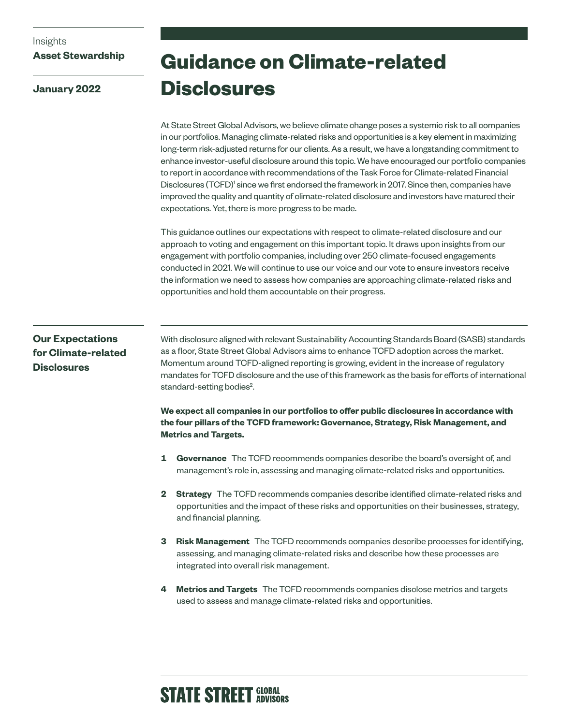### Insights

### **Asset Stewardship**

**January 2022**

## **Guidance on Climate-related Disclosures**

At State Street Global Advisors, we believe climate change poses a systemic risk to all companies in our portfolios. Managing climate-related risks and opportunities is a key element in maximizing long-term risk-adjusted returns for our clients. As a result, we have a longstanding commitment to enhance investor-useful disclosure around this topic. We have encouraged our portfolio companies to report in accordance with recommendations of the Task Force for Climate-related Financial Disclosures (TCFD)<sup>1</sup> since we first endorsed the framework in 2017. Since then, companies have improved the quality and quantity of climate-related disclosure and investors have matured their expectations. Yet, there is more progress to be made.

This guidance outlines our expectations with respect to climate-related disclosure and our approach to voting and engagement on this important topic. It draws upon insights from our engagement with portfolio companies, including over 250 climate-focused engagements conducted in 2021. We will continue to use our voice and our vote to ensure investors receive the information we need to assess how companies are approaching climate-related risks and opportunities and hold them accountable on their progress.

### **Our Expectations for Climate-related Disclosures**

With disclosure aligned with relevant Sustainability Accounting Standards Board (SASB) standards as a floor, State Street Global Advisors aims to enhance TCFD adoption across the market. Momentum around TCFD-aligned reporting is growing, evident in the increase of regulatory mandates for TCFD disclosure and the use of this framework as the basis for efforts of international standard-setting bodies<sup>2</sup>.

**We expect all companies in our portfolios to offer public disclosures in accordance with the four pillars of the TCFD framework: Governance, Strategy, Risk Management, and Metrics and Targets.**

- **1 Governance** The TCFD recommends companies describe the board's oversight of, and management's role in, assessing and managing climate-related risks and opportunities.
- **2 Strategy** The TCFD recommends companies describe identified climate-related risks and opportunities and the impact of these risks and opportunities on their businesses, strategy, and financial planning.
- **3 Risk Management** The TCFD recommends companies describe processes for identifying, assessing, and managing climate-related risks and describe how these processes are integrated into overall risk management.
- **4 Metrics and Targets** The TCFD recommends companies disclose metrics and targets used to assess and manage climate-related risks and opportunities.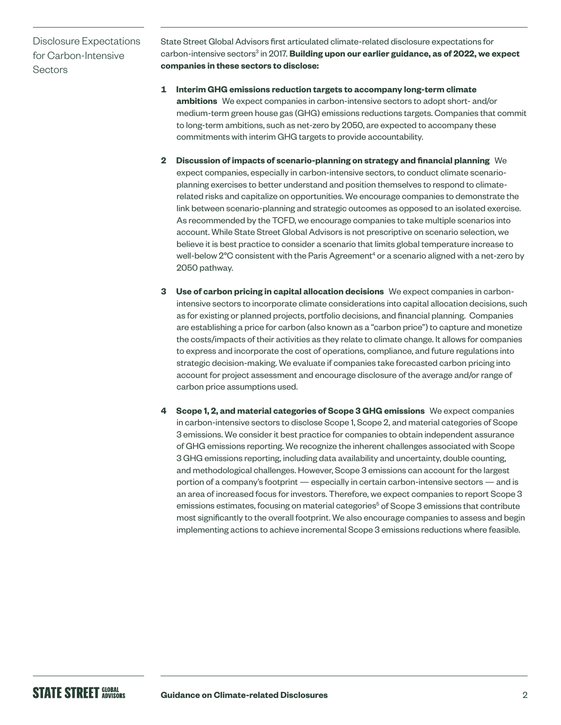Disclosure Expectations for Carbon-Intensive **Sectors** 

State Street Global Advisors first articulated climate-related disclosure expectations for carbon-intensive sectors<sup>3</sup> in 2017. **Building upon our earlier guidance, as of 2022, we expect companies in these sectors to disclose:**

- **1 Interim GHG emissions reduction targets to accompany long-term climate ambitions** We expect companies in carbon-intensive sectors to adopt short- and/or medium-term green house gas (GHG) emissions reductions targets. Companies that commit to long-term ambitions, such as net-zero by 2050, are expected to accompany these commitments with interim GHG targets to provide accountability.
- **2 Discussion of impacts of scenario-planning on strategy and financial planning** We expect companies, especially in carbon-intensive sectors, to conduct climate scenarioplanning exercises to better understand and position themselves to respond to climaterelated risks and capitalize on opportunities. We encourage companies to demonstrate the link between scenario-planning and strategic outcomes as opposed to an isolated exercise. As recommended by the TCFD, we encourage companies to take multiple scenarios into account. While State Street Global Advisors is not prescriptive on scenario selection, we believe it is best practice to consider a scenario that limits global temperature increase to well-below 2°C consistent with the Paris Agreement $^4$  or a scenario aligned with a net-zero by 2050 pathway.
- **3 Use of carbon pricing in capital allocation decisions** We expect companies in carbonintensive sectors to incorporate climate considerations into capital allocation decisions, such as for existing or planned projects, portfolio decisions, and financial planning. Companies are establishing a price for carbon (also known as a "carbon price") to capture and monetize the costs/impacts of their activities as they relate to climate change. It allows for companies to express and incorporate the cost of operations, compliance, and future regulations into strategic decision-making. We evaluate if companies take forecasted carbon pricing into account for project assessment and encourage disclosure of the average and/or range of carbon price assumptions used.
- **4 Scope 1, 2, and material categories of Scope 3 GHG emissions** We expect companies in carbon-intensive sectors to disclose Scope 1, Scope 2, and material categories of Scope 3 emissions. We consider it best practice for companies to obtain independent assurance of GHG emissions reporting. We recognize the inherent challenges associated with Scope 3 GHG emissions reporting, including data availability and uncertainty, double counting, and methodological challenges. However, Scope 3 emissions can account for the largest portion of a company's footprint — especially in certain carbon-intensive sectors — and is an area of increased focus for investors. Therefore, we expect companies to report Scope 3 emissions estimates, focusing on material categories<sup>5</sup> of Scope 3 emissions that contribute most significantly to the overall footprint. We also encourage companies to assess and begin implementing actions to achieve incremental Scope 3 emissions reductions where feasible.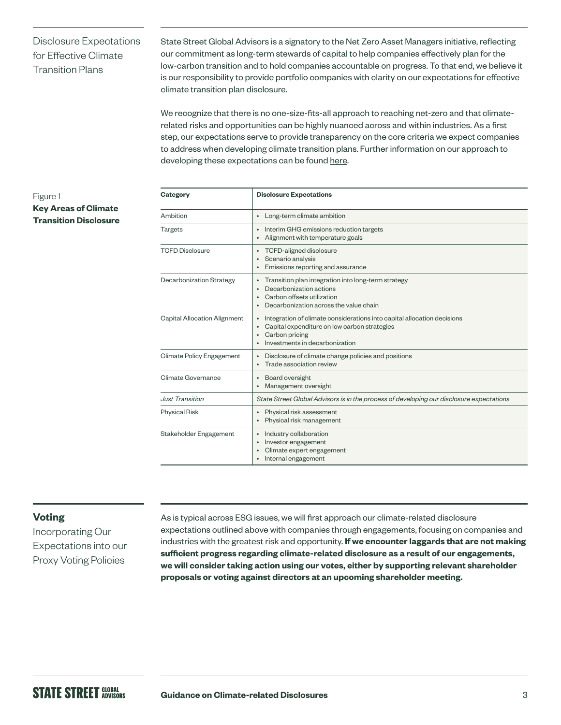### Disclosure Expectations for Effective Climate Transition Plans

State Street Global Advisors is a signatory to the Net Zero Asset Managers initiative, reflecting our commitment as long-term stewards of capital to help companies effectively plan for the low-carbon transition and to hold companies accountable on progress. To that end, we believe it is our responsibility to provide portfolio companies with clarity on our expectations for effective climate transition plan disclosure.

We recognize that there is no one-size-fits-all approach to reaching net-zero and that climaterelated risks and opportunities can be highly nuanced across and within industries. As a first step, our expectations serve to provide transparency on the core criteria we expect companies to address when developing climate transition plans. Further information on our approach to developing these expectations can be found [here](https://www.ssga.com/library-content/pdfs/asset-stewardship/disclosure-expectations-for-effective-climate-transition-plans.pdf).

### Figure 1 **Key Areas of Climate Transition Disclosure**

| <b>Category</b>                     | <b>Disclosure Expectations</b>                                                                                                                                                           |
|-------------------------------------|------------------------------------------------------------------------------------------------------------------------------------------------------------------------------------------|
| Ambition                            | Long-term climate ambition<br>$\bullet$                                                                                                                                                  |
| <b>Targets</b>                      | Interim GHG emissions reduction targets<br>Alignment with temperature goals<br>$\bullet$                                                                                                 |
| <b>TCFD Disclosure</b>              | TCFD-aligned disclosure<br>Scenario analysis<br>$\bullet$<br>Emissions reporting and assurance                                                                                           |
| Decarbonization Strategy            | Transition plan integration into long-term strategy<br>Decarbonization actions<br>Carbon offsets utilization<br>٠<br>Decarbonization across the value chain                              |
| <b>Capital Allocation Alignment</b> | Integration of climate considerations into capital allocation decisions<br>$\bullet$<br>Capital expenditure on low carbon strategies<br>Carbon pricing<br>Investments in decarbonization |
| Climate Policy Engagement           | Disclosure of climate change policies and positions<br>Trade association review                                                                                                          |
| Climate Governance                  | Board oversight<br>$\bullet$<br>Management oversight<br>$\bullet$                                                                                                                        |
| <b>Just Transition</b>              | State Street Global Advisors is in the process of developing our disclosure expectations                                                                                                 |
| <b>Physical Risk</b>                | Physical risk assessment<br>Physical risk management<br>$\bullet$                                                                                                                        |
| Stakeholder Engagement              | Industry collaboration<br>Investor engagement<br>Climate expert engagement<br>$\bullet$<br>Internal engagement                                                                           |

### **Voting**

Incorporating Our Expectations into our Proxy Voting Policies

As is typical across ESG issues, we will first approach our climate-related disclosure expectations outlined above with companies through engagements, focusing on companies and industries with the greatest risk and opportunity. **If we encounter laggards that are not making sufficient progress regarding climate-related disclosure as a result of our engagements, we will consider taking action using our votes, either by supporting relevant shareholder proposals or voting against directors at an upcoming shareholder meeting.**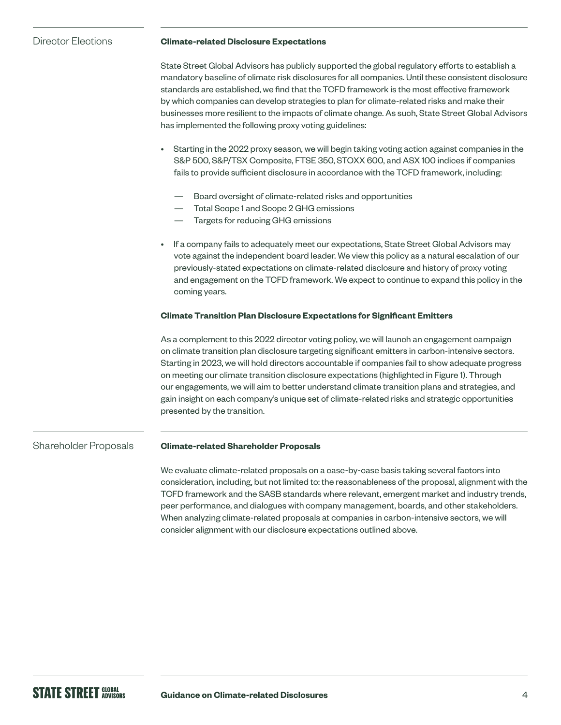Director Elections

### **Climate-related Disclosure Expectations**

State Street Global Advisors has publicly supported the global regulatory efforts to establish a mandatory baseline of climate risk disclosures for all companies. Until these consistent disclosure standards are established, we find that the TCFD framework is the most effective framework by which companies can develop strategies to plan for climate-related risks and make their businesses more resilient to the impacts of climate change. As such, State Street Global Advisors has implemented the following proxy voting guidelines:

- Starting in the 2022 proxy season, we will begin taking voting action against companies in the S&P 500, S&P/TSX Composite, FTSE 350, STOXX 600, and ASX 100 indices if companies fails to provide sufficient disclosure in accordance with the TCFD framework, including:
	- Board oversight of climate-related risks and opportunities
	- Total Scope 1 and Scope 2 GHG emissions
	- Targets for reducing GHG emissions
- If a company fails to adequately meet our expectations, State Street Global Advisors may vote against the independent board leader. We view this policy as a natural escalation of our previously-stated expectations on climate-related disclosure and history of proxy voting and engagement on the TCFD framework. We expect to continue to expand this policy in the coming years.

### **Climate Transition Plan Disclosure Expectations for Significant Emitters**

As a complement to this 2022 director voting policy, we will launch an engagement campaign on climate transition plan disclosure targeting significant emitters in carbon-intensive sectors. Starting in 2023, we will hold directors accountable if companies fail to show adequate progress on meeting our climate transition disclosure expectations (highlighted in Figure 1). Through our engagements, we will aim to better understand climate transition plans and strategies, and gain insight on each company's unique set of climate-related risks and strategic opportunities presented by the transition.

#### **Climate-related Shareholder Proposals** Shareholder Proposals

We evaluate climate-related proposals on a case-by-case basis taking several factors into consideration, including, but not limited to: the reasonableness of the proposal, alignment with the TCFD framework and the SASB standards where relevant, emergent market and industry trends, peer performance, and dialogues with company management, boards, and other stakeholders. When analyzing climate-related proposals at companies in carbon-intensive sectors, we will consider alignment with our disclosure expectations outlined above.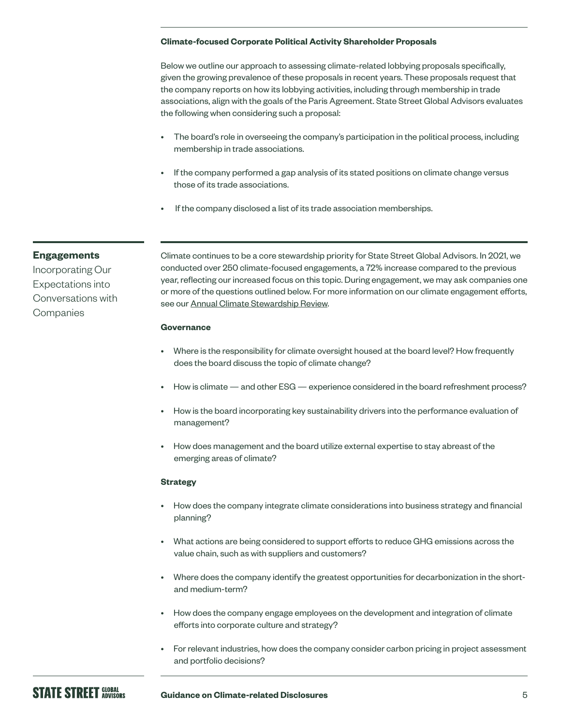### **Climate-focused Corporate Political Activity Shareholder Proposals**

Below we outline our approach to assessing climate-related lobbying proposals specifically, given the growing prevalence of these proposals in recent years. These proposals request that the company reports on how its lobbying activities, including through membership in trade associations, align with the goals of the Paris Agreement. State Street Global Advisors evaluates the following when considering such a proposal:

- The board's role in overseeing the company's participation in the political process, including membership in trade associations.
- If the company performed a gap analysis of its stated positions on climate change versus those of its trade associations.
- If the company disclosed a list of its trade association memberships.

### **Engagements**

Incorporating Our Expectations into Conversations with Companies

Climate continues to be a core stewardship priority for State Street Global Advisors. In 2021, we conducted over 250 climate-focused engagements, a 72% increase compared to the previous year, reflecting our increased focus on this topic. During engagement, we may ask companies one or more of the questions outlined below. For more information on our climate engagement efforts, see our [Annual Climate Stewardship Review.](https://www.ssga.com/library-content/products/esg/annual-climate-stewardship-review.pdf)

### **Governance**

- Where is the responsibility for climate oversight housed at the board level? How frequently does the board discuss the topic of climate change?
- How is climate and other ESG experience considered in the board refreshment process?
- How is the board incorporating key sustainability drivers into the performance evaluation of management?
- How does management and the board utilize external expertise to stay abreast of the emerging areas of climate?

### **Strategy**

- How does the company integrate climate considerations into business strategy and financial planning?
- What actions are being considered to support efforts to reduce GHG emissions across the value chain, such as with suppliers and customers?
- Where does the company identify the greatest opportunities for decarbonization in the shortand medium-term?
- How does the company engage employees on the development and integration of climate efforts into corporate culture and strategy?
- For relevant industries, how does the company consider carbon pricing in project assessment and portfolio decisions?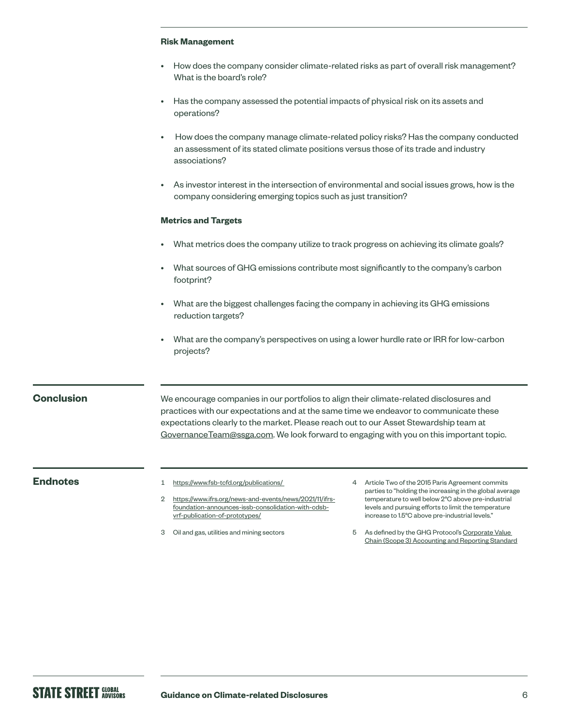### **Risk Management**

- How does the company consider climate-related risks as part of overall risk management? What is the board's role?
- Has the company assessed the potential impacts of physical risk on its assets and operations?
- How does the company manage climate-related policy risks? Has the company conducted an assessment of its stated climate positions versus those of its trade and industry associations?
- As investor interest in the intersection of environmental and social issues grows, how is the company considering emerging topics such as just transition?

### **Metrics and Targets**

- What metrics does the company utilize to track progress on achieving its climate goals?
- What sources of GHG emissions contribute most significantly to the company's carbon footprint?
- What are the biggest challenges facing the company in achieving its GHG emissions reduction targets?
- What are the company's perspectives on using a lower hurdle rate or IRR for low-carbon projects?

### **Conclusion**

We encourage companies in our portfolios to align their climate-related disclosures and practices with our expectations and at the same time we endeavor to communicate these expectations clearly to the market. Please reach out to our Asset Stewardship team at [GovernanceTeam@ssga.com](mailto:GovernanceTeam%40ssga.com?subject=). We look forward to engaging with you on this important topic.

### **Endnotes** 1 https://www.fsb-tcfd.org/publications/

- 2 [https://www.ifrs.org/news-and-events/news/2021/11/ifrs](https://www.ifrs.org/news-and-events/news/2021/11/ifrs-foundation-announces-issb-consolidation-with-cdsb-vrf-publication-of-prototypes/)[foundation-announces-issb-consolidation-with-cdsb](https://www.ifrs.org/news-and-events/news/2021/11/ifrs-foundation-announces-issb-consolidation-with-cdsb-vrf-publication-of-prototypes/)[vrf-publication-of-prototypes/](https://www.ifrs.org/news-and-events/news/2021/11/ifrs-foundation-announces-issb-consolidation-with-cdsb-vrf-publication-of-prototypes/)
- 3 Oil and gas, utilities and mining sectors
- 4 Article Two of the 2015 Paris Agreement commits parties to "holding the increasing in the global average temperature to well below 2°C above pre-industrial levels and pursuing efforts to limit the temperature increase to 1.5°C above pre-industrial levels."
- 5 As defined by the GHG Protocol's [Corporate Value](https://ghgprotocol.org/standards/scope-3-standard)  [Chain \(Scope 3\) Accounting and Reporting Standard](https://ghgprotocol.org/standards/scope-3-standard)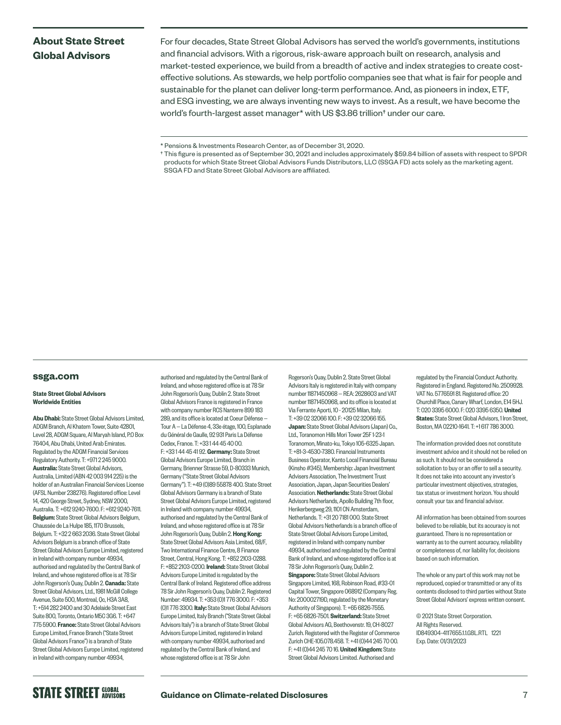### **About State Street Global Advisors**

For four decades, State Street Global Advisors has served the world's governments, institutions and financial advisors. With a rigorous, risk-aware approach built on research, analysis and market-tested experience, we build from a breadth of active and index strategies to create costeffective solutions. As stewards, we help portfolio companies see that what is fair for people and sustainable for the planet can deliver long-term performance. And, as pioneers in index, ETF, and ESG investing, we are always inventing new ways to invest. As a result, we have become the world's fourth-largest asset manager\* with US \$3.86 trillion† under our care.

### **[ssga.com](http://ssga.com)**

### State Street Global Advisors Worldwide Entities

Abu Dhabi: State Street Global Advisors Limited, ADGM Branch, Al Khatem Tower, Suite 42801, Level 28, ADGM Square, Al Maryah Island, P.O Box 76404, Abu Dhabi, United Arab Emirates. Regulated by the ADGM Financial Services Regulatory Authority. T: +971 2 245 9000. Australia: State Street Global Advisors, Australia, Limited (ABN 42 003 914 225) is the holder of an Australian Financial Services License (AFSL Number 238276). Registered office: Level 14, 420 George Street, Sydney, NSW 2000, Australia. T: +612 9240-7600. F: +612 9240-7611. Belgium: State Street Global Advisors Belgium, Chaussée de La Hulpe 185, 1170 Brussels, Belgium. T: +32 2 663 2036. State Street Global Advisors Belgium is a branch office of State Street Global Advisors Europe Limited, registered in Ireland with company number 49934, authorised and regulated by the Central Bank of Ireland, and whose registered office is at 78 Sir John Rogerson's Quay, Dublin 2. Canada: State Street Global Advisors, Ltd., 1981 McGill College Avenue, Suite 500, Montreal, Qc, H3A 3A8, T: +514 282 2400 and 30 Adelaide Street East Suite 800, Toronto, Ontario M5C 3G6. T: +647 775 5900. France: State Street Global Advisors Europe Limited, France Branch ("State Street Global Advisors France") is a branch of State Street Global Advisors Europe Limited, registered in Ireland with company number 49934,

authorised and regulated by the Central Bank of Ireland, and whose registered office is at 78 Sir John Rogerson's Quay, Dublin 2. State Street Global Advisors France is registered in France with company number RCS Nanterre 899 183 289, and its office is located at Coeur Défense — Tour A — La Défense 4, 33e étage, 100, Esplanade du Général de Gaulle, 92 931 Paris La Défense Cedex, France. T: +33 1 44 45 40 00. F: +33 1 44 45 41 92. Germany: State Street Global Advisors Europe Limited, Branch in Germany, Brienner Strasse 59, D-80333 Munich, Germany ("State Street Global Advisors Germany"). T: +49 (0)89 55878 400. State Street Global Advisors Germany is a branch of State Street Global Advisors Europe Limited, registered in Ireland with company number 49934, authorised and regulated by the Central Bank of Ireland, and whose registered office is at 78 Sir John Rogerson's Quay, Dublin 2. Hong Kong: State Street Global Advisors Asia Limited, 68/F, Two International Finance Centre, 8 Finance Street, Central, Hong Kong. T: +852 2103-0288. F: +852 2103-0200. Ireland: State Street Global Advisors Europe Limited is regulated by the Central Bank of Ireland. Registered office address 78 Sir John Rogerson's Quay, Dublin 2. Registered Number: 49934. T: +353 (0)1 776 3000. F: +353 (0)1 776 3300. Italy: State Street Global Advisors Europe Limited, Italy Branch ("State Street Global Advisors Italy") is a branch of State Street Global Advisors Europe Limited, registered in Ireland with company number 49934, authorised and regulated by the Central Bank of Ireland, and whose registered office is at 78 Sir John

Rogerson's Quay, Dublin 2. State Street Global Advisors Italy is registered in Italy with company number 11871450968 — REA: 2628603 and VAT number 11871450968, and its office is located at Via Ferrante Aporti, 10 - 20125 Milan, Italy. T: +39 02 32066 100. F: +39 02 32066 155. Japan: State Street Global Advisors (Japan) Co., Ltd., Toranomon Hills Mori Tower 25F 1-23-1 Toranomon, Minato-ku, Tokyo 105-6325 Japan. T: +81-3-4530-7380. Financial Instruments Business Operator, Kanto Local Financial Bureau (Kinsho #345), Membership: Japan Investment Advisers Association, The Investment Trust Association, Japan, Japan Securities Dealers' Association. Netherlands: State Street Global Advisors Netherlands, Apollo Building 7th floor, Herikerbergweg 29, 1101 CN Amsterdam, Netherlands. T: +31 20 7181 000. State Street Global Advisors Netherlands is a branch office of State Street Global Advisors Europe Limited, registered in Ireland with company number 49934, authorised and regulated by the Central Bank of Ireland, and whose registered office is at 78 Sir John Rogerson's Quay, Dublin 2. Singapore: State Street Global Advisors Singapore Limited, 168, Robinson Road, #33-01 Capital Tower, Singapore 068912 (Company Reg. No: 200002719D, regulated by the Monetary Authority of Singapore). T: +65 6826-7555. F: +65 6826-7501. Switzerland: State Street Global Advisors AG, Beethovenstr. 19, CH-8027 Zurich. Registered with the Register of Commerce Zurich CHE-105.078.458. T: +41 (0)44 245 70 00. F: +41 (0)44 245 70 16. United Kingdom: State Street Global Advisors Limited. Authorised and

regulated by the Financial Conduct Authority. Registered in England. Registered No. 2509928. VAT No. 5776591 81. Registered office: 20 Churchill Place, Canary Wharf, London, F14 5HJ. T: 020 3395 6000. F: 020 3395 6350. United States: State Street Global Advisors, 1 Iron Street, Boston, MA 02210-1641. T: +1 617 786 3000.

The information provided does not constitute investment advice and it should not be relied on as such. It should not be considered a solicitation to buy or an offer to sell a security. It does not take into account any investor's particular investment objectives, strategies, tax status or investment horizon. You should consult your tax and financial advisor.

All information has been obtained from sources believed to be reliable, but its accuracy is not guaranteed. There is no representation or warranty as to the current accuracy, reliability or completeness of, nor liability for, decisions based on such information.

The whole or any part of this work may not be reproduced, copied or transmitted or any of its contents disclosed to third parties without State Street Global Advisors' express written consent.

© 2021 State Street Corporation. All Rights Reserved. ID849304-4117655.1.1.GBL.RTL 1221 Exp. Date: 01/31/2023

<sup>\*</sup> Pensions & Investments Research Center, as of December 31, 2020.

<sup>†</sup> This figure is presented as of September 30, 2021 and includes approximately \$59.84 billion of assets with respect to SPDR products for which State Street Global Advisors Funds Distributors, LLC (SSGA FD) acts solely as the marketing agent. SSGA FD and State Street Global Advisors are affiliated.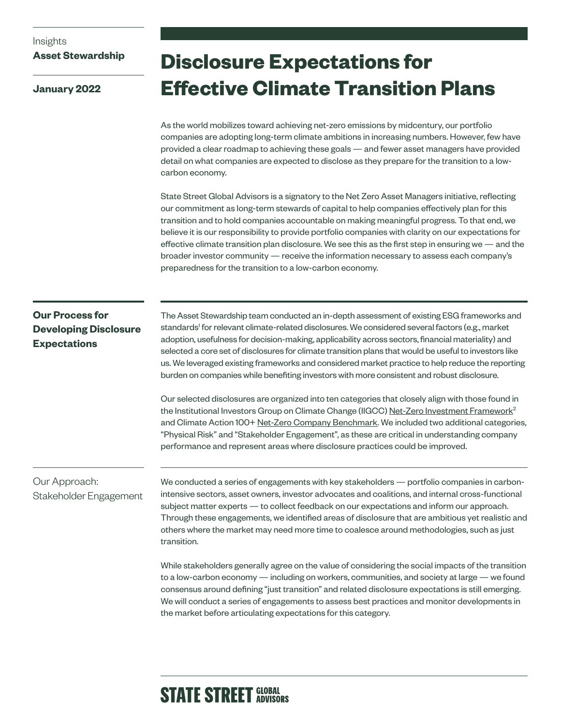### Insights **Asset Stewardship**

**January 2022**

## **Disclosure Expectations for Effective Climate Transition Plans**

As the world mobilizes toward achieving net-zero emissions by midcentury, our portfolio companies are adopting long-term climate ambitions in increasing numbers. However, few have provided a clear roadmap to achieving these goals — and fewer asset managers have provided detail on what companies are expected to disclose as they prepare for the transition to a lowcarbon economy.

State Street Global Advisors is a signatory to the Net Zero Asset Managers initiative, reflecting our commitment as long-term stewards of capital to help companies effectively plan for this transition and to hold companies accountable on making meaningful progress. To that end, we believe it is our responsibility to provide portfolio companies with clarity on our expectations for effective climate transition plan disclosure. We see this as the first step in ensuring we — and the broader investor community — receive the information necessary to assess each company's preparedness for the transition to a low-carbon economy.

### **Our Process for Developing Disclosure Expectations**

The Asset Stewardship team conducted an in-depth assessment of existing ESG frameworks and standards<sup>1</sup> for relevant climate-related disclosures. We considered several factors (e.g., market adoption, usefulness for decision-making, applicability across sectors, financial materiality) and selected a core set of disclosures for climate transition plans that would be useful to investors like us. We leveraged existing frameworks and considered market practice to help reduce the reporting burden on companies while benefiting investors with more consistent and robust disclosure.

Our selected disclosures are organized into ten categories that closely align with those found in the Institutional Investors Group on Climate Change (IIGCC) [Net-Zero Investment Framework](https://www.iigcc.org/download/net-zero-investment-framework-implementation-guide/?wpdmdl=4425&refresh=61ad3362dc1721638740834)<sup>2</sup> and Climate Action 100+ [Net-Zero Company Benchmark](https://www.climateaction100.org/progress/net-zero-company-benchmark/). We included two additional categories, "Physical Risk" and "Stakeholder Engagement", as these are critical in understanding company performance and represent areas where disclosure practices could be improved.

### Our Approach: Stakeholder Engagement

We conducted a series of engagements with key stakeholders — portfolio companies in carbonintensive sectors, asset owners, investor advocates and coalitions, and internal cross-functional subject matter experts — to collect feedback on our expectations and inform our approach. Through these engagements, we identified areas of disclosure that are ambitious yet realistic and others where the market may need more time to coalesce around methodologies, such as just transition.

While stakeholders generally agree on the value of considering the social impacts of the transition to a low-carbon economy — including on workers, communities, and society at large — we found consensus around defining "just transition" and related disclosure expectations is still emerging. We will conduct a series of engagements to assess best practices and monitor developments in the market before articulating expectations for this category.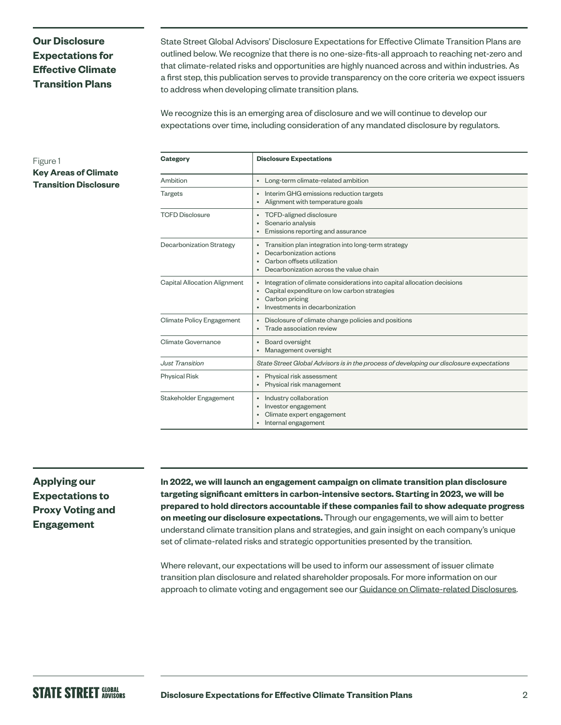### **Our Disclosure Expectations for Effective Climate Transition Plans**

State Street Global Advisors' Disclosure Expectations for Effective Climate Transition Plans are outlined below. We recognize that there is no one-size-fits-all approach to reaching net-zero and that climate-related risks and opportunities are highly nuanced across and within industries. As a first step, this publication serves to provide transparency on the core criteria we expect issuers to address when developing climate transition plans.

We recognize this is an emerging area of disclosure and we will continue to develop our expectations over time, including consideration of any mandated disclosure by regulators.

### Figure 1

**Key Areas of Climate Transition Disclosure**

| <b>Category</b>              | <b>Disclosure Expectations</b>                                                                                                                                                           |
|------------------------------|------------------------------------------------------------------------------------------------------------------------------------------------------------------------------------------|
| Ambition                     | Long-term climate-related ambition<br>$\bullet$                                                                                                                                          |
| <b>Targets</b>               | Interim GHG emissions reduction targets<br>Alignment with temperature goals<br>٠                                                                                                         |
| <b>TCFD Disclosure</b>       | TCFD-aligned disclosure<br>$\bullet$<br>Scenario analysis<br>٠<br>Emissions reporting and assurance                                                                                      |
| Decarbonization Strategy     | Transition plan integration into long-term strategy<br>٠<br>Decarbonization actions<br>٠<br>Carbon offsets utilization<br>$\bullet$<br>Decarbonization across the value chain            |
| Capital Allocation Alignment | Integration of climate considerations into capital allocation decisions<br>Capital expenditure on low carbon strategies<br>$\bullet$<br>Carbon pricing<br>Investments in decarbonization |
| Climate Policy Engagement    | Disclosure of climate change policies and positions<br>$\bullet$<br>Trade association review                                                                                             |
| Climate Governance           | Board oversight<br>Management oversight<br>$\bullet$                                                                                                                                     |
| <b>Just Transition</b>       | State Street Global Advisors is in the process of developing our disclosure expectations                                                                                                 |
| <b>Physical Risk</b>         | Physical risk assessment<br>$\bullet$<br>Physical risk management<br>$\bullet$                                                                                                           |
| Stakeholder Engagement       | Industry collaboration<br>٠<br>Investor engagement<br>$\bullet$<br>Climate expert engagement<br>Internal engagement                                                                      |

### **Applying our Expectations to Proxy Voting and Engagement**

**In 2022, we will launch an engagement campaign on climate transition plan disclosure targeting significant emitters in carbon-intensive sectors. Starting in 2023, we will be prepared to hold directors accountable if these companies fail to show adequate progress on meeting our disclosure expectations.** Through our engagements, we will aim to better understand climate transition plans and strategies, and gain insight on each company's unique set of climate-related risks and strategic opportunities presented by the transition.

Where relevant, our expectations will be used to inform our assessment of issuer climate transition plan disclosure and related shareholder proposals. For more information on our approach to climate voting and engagement see our [Guidance on Climate-related Disclosures.](https://www.ssga.com/library-content/pdfs/asset-stewardship/guidance-on-climate-related-disclosures.pdf)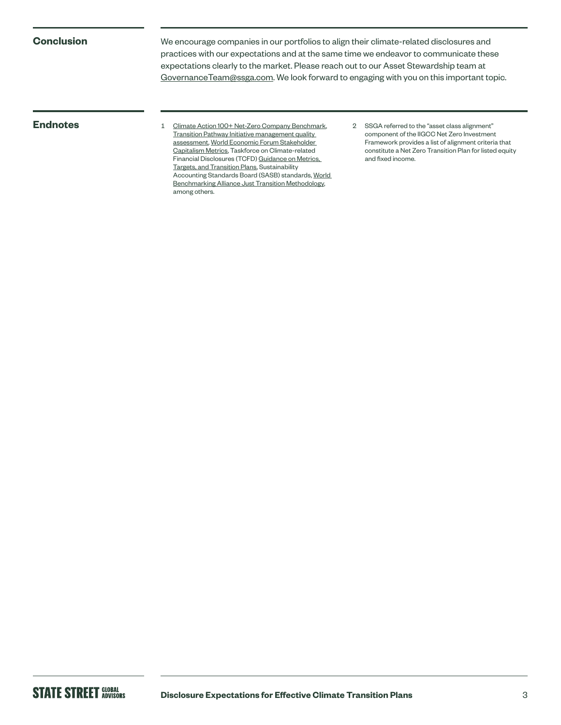### **Conclusion**

We encourage companies in our portfolios to align their climate-related disclosures and practices with our expectations and at the same time we endeavor to communicate these expectations clearly to the market. Please reach out to our Asset Stewardship team at [GovernanceTeam@ssga.com](mailto:GovernanceTeam%40ssga.com?subject=). We look forward to engaging with you on this important topic.

**Endnotes** 1 [Climate Action 100+ Net-Zero Company Benchmark,](https://www.climateaction100.org/progress/net-zero-company-benchmark/) [Transition Pathway Initiative management quality](https://www.transitionpathwayinitiative.org/sectors)  [assessment](https://www.transitionpathwayinitiative.org/sectors), [World Economic Forum Stakeholder](https://www.weforum.org/reports/measuring-stakeholder-capitalism-towards-common-metrics-and-consistent-reporting-of-sustainable-value-creation)  [Capitalism Metrics,](https://www.weforum.org/reports/measuring-stakeholder-capitalism-towards-common-metrics-and-consistent-reporting-of-sustainable-value-creation) Taskforce on Climate-related Financial Disclosures (TCFD) [Guidance on Metrics,](https://assets.bbhub.io/company/sites/60/2021/07/2021-Metrics_Targets_Guidance-1.pdf)  [Targets, and Transition Plans](https://assets.bbhub.io/company/sites/60/2021/07/2021-Metrics_Targets_Guidance-1.pdf), Sustainability Accounting Standards Board (SASB) standards, [World](https://assets.worldbenchmarkingalliance.org/app/uploads/2021/07/Just-Transition-Methodology.pdf)  [Benchmarking Alliance Just Transition Methodology,](https://assets.worldbenchmarkingalliance.org/app/uploads/2021/07/Just-Transition-Methodology.pdf) among others.

2 SSGA referred to the "asset class alignment" component of the IIGCC Net Zero Investment Framework provides a list of alignment criteria that constitute a Net Zero Transition Plan for listed equity and fixed income.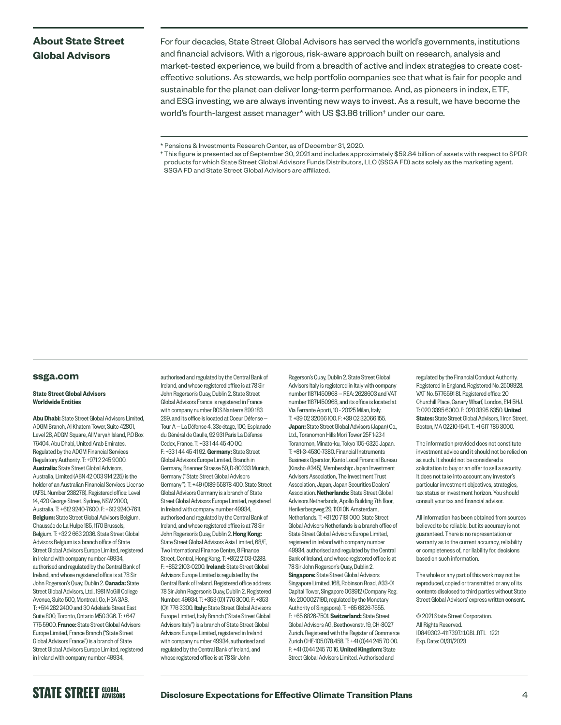### **About State Street Global Advisors**

For four decades, State Street Global Advisors has served the world's governments, institutions and financial advisors. With a rigorous, risk-aware approach built on research, analysis and market-tested experience, we build from a breadth of active and index strategies to create costeffective solutions. As stewards, we help portfolio companies see that what is fair for people and sustainable for the planet can deliver long-term performance. And, as pioneers in index, ETF, and ESG investing, we are always inventing new ways to invest. As a result, we have become the world's fourth-largest asset manager\* with US \$3.86 trillion† under our care.

### **[ssga.com](http://ssga.com)**

### State Street Global Advisors Worldwide Entities

Abu Dhabi: State Street Global Advisors Limited, ADGM Branch, Al Khatem Tower, Suite 42801, Level 28, ADGM Square, Al Maryah Island, P.O Box 76404, Abu Dhabi, United Arab Emirates. Regulated by the ADGM Financial Services Regulatory Authority. T: +971 2 245 9000. Australia: State Street Global Advisors, Australia, Limited (ABN 42 003 914 225) is the holder of an Australian Financial Services License (AFSL Number 238276). Registered office: Level 14, 420 George Street, Sydney, NSW 2000, Australia. T: +612 9240-7600. F: +612 9240-7611. Belgium: State Street Global Advisors Belgium, Chaussée de La Hulpe 185, 1170 Brussels, Belgium. T: +32 2 663 2036. State Street Global Advisors Belgium is a branch office of State Street Global Advisors Europe Limited, registered in Ireland with company number 49934, authorised and regulated by the Central Bank of Ireland, and whose registered office is at 78 Sir John Rogerson's Quay, Dublin 2. Canada: State Street Global Advisors, Ltd., 1981 McGill College Avenue, Suite 500, Montreal, Qc, H3A 3A8, T: +514 282 2400 and 30 Adelaide Street East Suite 800, Toronto, Ontario M5C 3G6. T: +647 775 5900. France: State Street Global Advisors Europe Limited, France Branch ("State Street Global Advisors France") is a branch of State Street Global Advisors Europe Limited, registered in Ireland with company number 49934,

authorised and regulated by the Central Bank of Ireland, and whose registered office is at 78 Sir John Rogerson's Quay, Dublin 2. State Street Global Advisors France is registered in France with company number RCS Nanterre 899 183 289, and its office is located at Coeur Défense — Tour A — La Défense 4, 33e étage, 100, Esplanade du Général de Gaulle, 92 931 Paris La Défense Cedex, France. T: +33 1 44 45 40 00. F: +33144 45 41 92. Germany: State Street Global Advisors Europe Limited, Branch in Germany, Brienner Strasse 59, D-80333 Munich, Germany ("State Street Global Advisors Germany"). T: +49 (0)89 55878 400. State Street Global Advisors Germany is a branch of State Street Global Advisors Europe Limited, registered in Ireland with company number 49934, authorised and regulated by the Central Bank of Ireland, and whose registered office is at 78 Sir John Rogerson's Quay, Dublin 2. Hong Kong: State Street Global Advisors Asia Limited, 68/F Two International Finance Centre, 8 Finance Street, Central, Hong Kong. T: +852 2103-0288. F: +852 2103-0200. Ireland: State Street Global Advisors Europe Limited is regulated by the Central Bank of Ireland. Registered office address 78 Sir John Rogerson's Quay, Dublin 2. Registered Number: 49934. T: +353 (0)1 776 3000. F: +353 (0)1 776 3300. Italy: State Street Global Advisors Europe Limited, Italy Branch ("State Street Global Advisors Italy") is a branch of State Street Global Advisors Europe Limited, registered in Ireland with company number 49934, authorised and regulated by the Central Bank of Ireland, and whose registered office is at 78 Sir John

Rogerson's Quay, Dublin 2. State Street Global Advisors Italy is registered in Italy with company number 11871450968 — REA: 2628603 and VAT number 11871450968, and its office is located at Via Ferrante Aporti, 10 - 20125 Milan, Italy. T: +39 02 32066 100. F: +39 02 32066 155. Japan: State Street Global Advisors (Japan) Co., Ltd., Toranomon Hills Mori Tower 25F 1-23-1 Toranomon, Minato-ku, Tokyo 105-6325 Japan. T: +81-3-4530-7380. Financial Instruments Business Operator, Kanto Local Financial Bureau (Kinsho #345), Membership: Japan Investment Advisers Association, The Investment Trust Association, Japan, Japan Securities Dealers' Association. Netherlands: State Street Global Advisors Netherlands, Apollo Building 7th floor, Herikerbergweg 29, 1101 CN Amsterdam, Netherlands. T: +31 20 7181 000. State Street Global Advisors Netherlands is a branch office of State Street Global Advisors Europe Limited, registered in Ireland with company number 49934, authorised and regulated by the Central Bank of Ireland, and whose registered office is at 78 Sir John Rogerson's Quay, Dublin 2. Singapore: State Street Global Advisors Singapore Limited, 168, Robinson Road, #33-01 Capital Tower, Singapore 068912 (Company Reg. No: 200002719D, regulated by the Monetary Authority of Singapore). T: +65 6826-7555. F: +65 6826-7501. Switzerland: State Street Global Advisors AG, Beethovenstr. 19, CH-8027 Zurich. Registered with the Register of Commerce Zurich CHE-105.078.458. T: +41 (0)44 245 70 00. F: +41 (0)44 245 70 16. United Kingdom: State Street Global Advisors Limited. Authorised and

regulated by the Financial Conduct Authority. Registered in England. Registered No. 2509928. VAT No. 5776591 81. Registered office: 20 Churchill Place, Canary Wharf, London, F14 5HJ. T: 020 3395 6000. F: 020 3395 6350. United States: State Street Global Advisors, 1 Iron Street, Boston, MA 02210-1641. T: +1 617 786 3000.

The information provided does not constitute investment advice and it should not be relied on as such. It should not be considered a solicitation to buy or an offer to sell a security. It does not take into account any investor's particular investment objectives, strategies, tax status or investment horizon. You should consult your tax and financial advisor.

All information has been obtained from sources believed to be reliable, but its accuracy is not guaranteed. There is no representation or warranty as to the current accuracy, reliability or completeness of, nor liability for, decisions based on such information.

The whole or any part of this work may not be reproduced, copied or transmitted or any of its contents disclosed to third parties without State Street Global Advisors' express written consent.

© 2021 State Street Corporation. All Rights Reserved. ID849302-4117397.1.1.GBL.RTL 1221 Exp. Date: 01/31/2023

<sup>\*</sup> Pensions & Investments Research Center, as of December 31, 2020.

<sup>†</sup> This figure is presented as of September 30, 2021 and includes approximately \$59.84 billion of assets with respect to SPDR products for which State Street Global Advisors Funds Distributors, LLC (SSGA FD) acts solely as the marketing agent. SSGA FD and State Street Global Advisors are affiliated.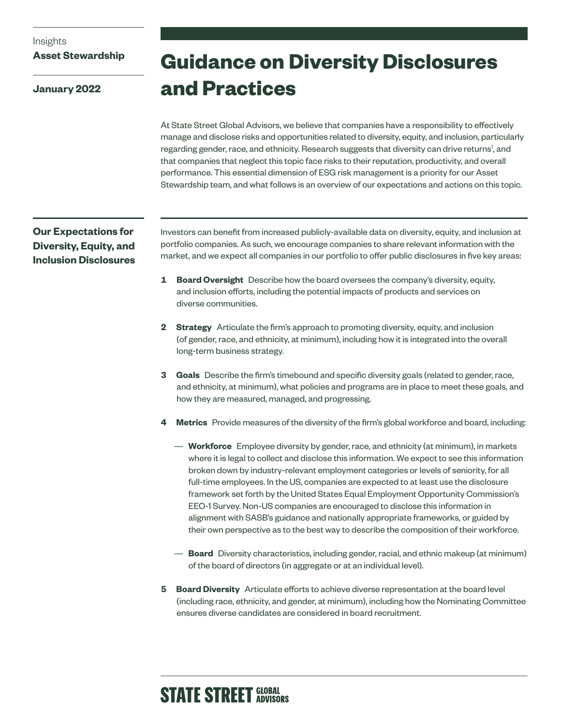### Insights

### **Asset Stewardship**

**January 2022**

## **Guidance on Diversity Disclosures and Practices**

At State Street Global Advisors, we believe that companies have a responsibility to effectively manage and disclose risks and opportunities related to diversity, equity, and inclusion, particularly regarding gender, race, and ethnicity. Research suggests that diversity can drive returns<sup>1</sup>, and that companies that neglect this topic face risks to their reputation, productivity, and overall performance. This essential dimension of ESG risk management is a priority for our Asset Stewardship team, and what follows is an overview of our expectations and actions on this topic.

### **Our Expectations for Diversity, Equity, and Inclusion Disclosures**

Investors can benefit from increased publicly-available data on diversity, equity, and inclusion at portfolio companies. As such, we encourage companies to share relevant information with the market, and we expect all companies in our portfolio to offer public disclosures in five key areas:

- **1 Board Oversight** Describe how the board oversees the company's diversity, equity, and inclusion efforts, including the potential impacts of products and services on diverse communities.
- **2 Strategy** Articulate the firm's approach to promoting diversity, equity, and inclusion (of gender, race, and ethnicity, at minimum), including how it is integrated into the overall long-term business strategy.
- **3 Goals** Describe the firm's timebound and specific diversity goals (related to gender, race, and ethnicity, at minimum), what policies and programs are in place to meet these goals, and how they are measured, managed, and progressing.
- **4 Metrics** Provide measures of the diversity of the firm's global workforce and board, including:
	- **Workforce** Employee diversity by gender, race, and ethnicity (at minimum), in markets where it is legal to collect and disclose this information. We expect to see this information broken down by industry-relevant employment categories or levels of seniority, for all full-time employees. In the US, companies are expected to at least use the disclosure framework set forth by the United States Equal Employment Opportunity Commission's EEO-1 Survey. Non-US companies are encouraged to disclose this information in alignment with SASB's guidance and nationally appropriate frameworks, or guided by their own perspective as to the best way to describe the composition of their workforce.
	- **Board** Diversity characteristics, including gender, racial, and ethnic makeup (at minimum) of the board of directors (in aggregate or at an individual level).
- **5 Board Diversity** Articulate efforts to achieve diverse representation at the board level (including race, ethnicity, and gender, at minimum), including how the Nominating Committee ensures diverse candidates are considered in board recruitment.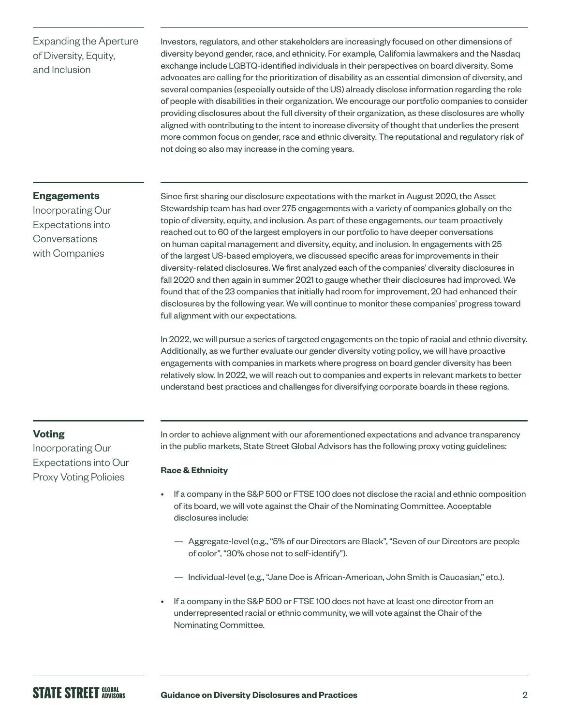### Expanding the Aperture of Diversity, Equity, and Inclusion

Investors, regulators, and other stakeholders are increasingly focused on other dimensions of diversity beyond gender, race, and ethnicity. For example, California lawmakers and the Nasdaq exchange include LGBTQ-identified individuals in their perspectives on board diversity. Some advocates are calling for the prioritization of disability as an essential dimension of diversity, and several companies (especially outside of the US) already disclose information regarding the role of people with disabilities in their organization. We encourage our portfolio companies to consider providing disclosures about the full diversity of their organization, as these disclosures are wholly aligned with contributing to the intent to increase diversity of thought that underlies the present more common focus on gender, race and ethnic diversity. The reputational and regulatory risk of not doing so also may increase in the coming years.

### **Engagements**

Incorporating Our Expectations into Conversations with Companies

Since first sharing our disclosure expectations with the market in August 2020, the Asset Stewardship team has had over 275 engagements with a variety of companies globally on the topic of diversity, equity, and inclusion. As part of these engagements, our team proactively reached out to 60 of the largest employers in our portfolio to have deeper conversations on human capital management and diversity, equity, and inclusion. In engagements with 25 of the largest US-based employers, we discussed specific areas for improvements in their diversity-related disclosures. We first analyzed each of the companies' diversity disclosures in fall 2020 and then again in summer 2021 to gauge whether their disclosures had improved. We found that of the 23 companies that initially had room for improvement, 20 had enhanced their disclosures by the following year. We will continue to monitor these companies' progress toward full alignment with our expectations.

In 2022, we will pursue a series of targeted engagements on the topic of racial and ethnic diversity. Additionally, as we further evaluate our gender diversity voting policy, we will have proactive engagements with companies in markets where progress on board gender diversity has been relatively slow. In 2022, we will reach out to companies and experts in relevant markets to better understand best practices and challenges for diversifying corporate boards in these regions.

### **Voting**

Incorporating Our Expectations into Our Proxy Voting Policies

In order to achieve alignment with our aforementioned expectations and advance transparency in the public markets, State Street Global Advisors has the following proxy voting guidelines:

### **Race & Ethnicity**

- If a company in the S&P 500 or FTSE 100 does not disclose the racial and ethnic composition of its board, we will vote against the Chair of the Nominating Committee. Acceptable disclosures include:
	- Aggregate-level (e.g., "5% of our Directors are Black", "Seven of our Directors are people of color", "30% chose not to self-identify").
	- Individual-level (e.g., "Jane Doe is African-American, John Smith is Caucasian," etc.).
- If a company in the S&P 500 or FTSE 100 does not have at least one director from an underrepresented racial or ethnic community, we will vote against the Chair of the Nominating Committee.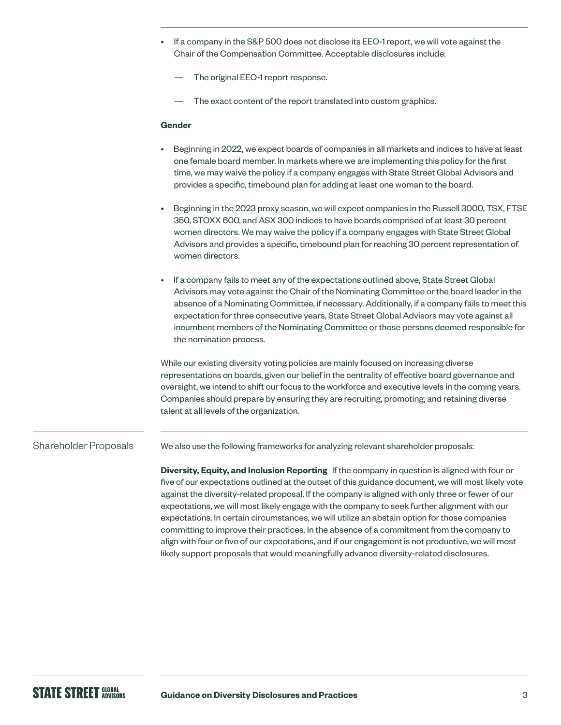- If a company in the S&P 500 does not disclose its EEO-1 report, we will vote against the Chair of the Compensation Committee. Acceptable disclosures include:
	- The original EEO-1 report response.
	- The exact content of the report translated into custom graphics.

### **Gender**

- Beginning in 2022, we expect boards of companies in all markets and indices to have at least one female board member. In markets where we are implementing this policy for the first time, we may waive the policy if a company engages with State Street Global Advisors and provides a specific, timebound plan for adding at least one woman to the board.
- Beginning in the 2023 proxy season, we will expect companies in the Russell 3000, TSX, FTSE 350, STOXX 600, and ASX 300 indices to have boards comprised of at least 30 percent women directors. We may waive the policy if a company engages with State Street Global Advisors and provides a specific, timebound plan for reaching 30 percent representation of women directors.
- If a company fails to meet any of the expectations outlined above, State Street Global Advisors may vote against the Chair of the Nominating Committee or the board leader in the absence of a Nominating Committee, if necessary. Additionally, if a company fails to meet this expectation for three consecutive years, State Street Global Advisors may vote against all incumbent members of the Nominating Committee or those persons deemed responsible for the nomination process.

While our existing diversity voting policies are mainly focused on increasing diverse representations on boards, given our belief in the centrality of effective board governance and oversight, we intend to shift our focus to the workforce and executive levels in the coming years. Companies should prepare by ensuring they are recruiting, promoting, and retaining diverse talent at all levels of the organization.

#### We also use the following frameworks for analyzing relevant shareholder proposals: Shareholder Proposals

**Diversity, Equity, and Inclusion Reporting** If the company in question is aligned with four or five of our expectations outlined at the outset of this guidance document, we will most likely vote against the diversity-related proposal. If the company is aligned with only three or fewer of our expectations, we will most likely engage with the company to seek further alignment with our expectations. In certain circumstances, we will utilize an abstain option for those companies committing to improve their practices. In the absence of a commitment from the company to align with four or five of our expectations, and if our engagement is not productive, we will most likely support proposals that would meaningfully advance diversity-related disclosures.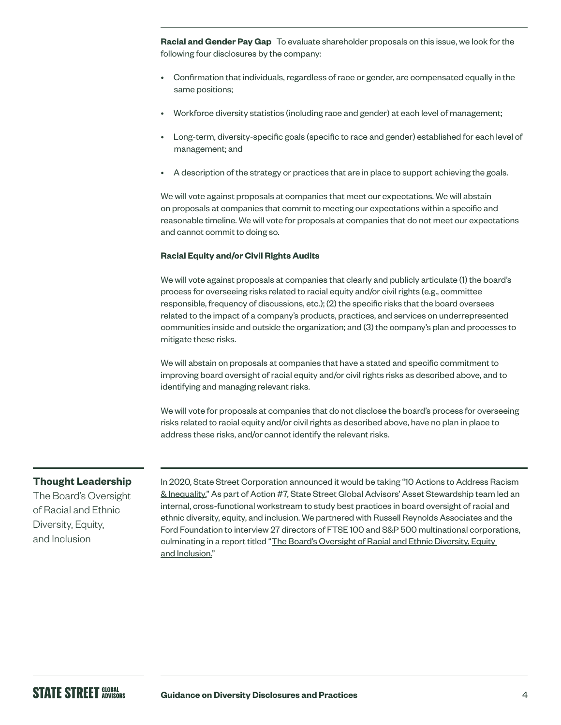**Racial and Gender Pay Gap** To evaluate shareholder proposals on this issue, we look for the following four disclosures by the company:

- Confirmation that individuals, regardless of race or gender, are compensated equally in the same positions;
- Workforce diversity statistics (including race and gender) at each level of management;
- Long-term, diversity-specific goals (specific to race and gender) established for each level of management; and
- A description of the strategy or practices that are in place to support achieving the goals.

We will vote against proposals at companies that meet our expectations. We will abstain on proposals at companies that commit to meeting our expectations within a specific and reasonable timeline. We will vote for proposals at companies that do not meet our expectations and cannot commit to doing so.

### **Racial Equity and/or Civil Rights Audits**

We will vote against proposals at companies that clearly and publicly articulate (1) the board's process for overseeing risks related to racial equity and/or civil rights (e.g., committee responsible, frequency of discussions, etc.); (2) the specific risks that the board oversees related to the impact of a company's products, practices, and services on underrepresented communities inside and outside the organization; and (3) the company's plan and processes to mitigate these risks.

We will abstain on proposals at companies that have a stated and specific commitment to improving board oversight of racial equity and/or civil rights risks as described above, and to identifying and managing relevant risks.

We will vote for proposals at companies that do not disclose the board's process for overseeing risks related to racial equity and/or civil rights as described above, have no plan in place to address these risks, and/or cannot identify the relevant risks.

### **Thought Leadership**

The Board's Oversight of Racial and Ethnic Diversity, Equity, and Inclusion

In 2020, State Street Corporation announced it would be taking "10 Actions to Address Racism [& Inequality.](https://www.statestreet.com/values/inclusion-diversity/10-actions-to-address-racism-and-inequality.html)" As part of Action #7, State Street Global Advisors' Asset Stewardship team led an internal, cross-functional workstream to study best practices in board oversight of racial and ethnic diversity, equity, and inclusion. We partnered with Russell Reynolds Associates and the Ford Foundation to interview 27 directors of FTSE 100 and S&P 500 multinational corporations, culminating in a report titled "The Board's Oversight of Racial and Ethnic Diversity, Equity and [Inclusion.](https://www.ssga.com/library-content/pdfs/global/boards-oversight-of-racial-and-ethnic-diversity.pdf)"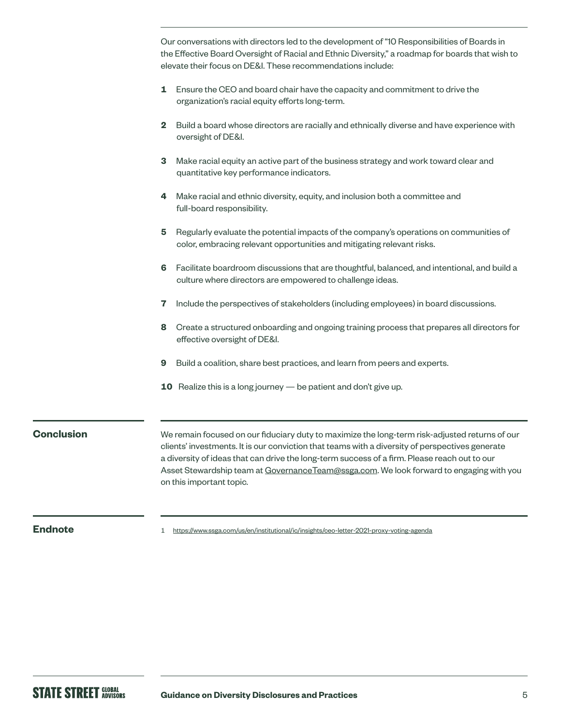Our conversations with directors led to the development of "10 Responsibilities of Boards in the Effective Board Oversight of Racial and Ethnic Diversity," a roadmap for boards that wish to elevate their focus on DE&I. These recommendations include: **1** Ensure the CEO and board chair have the capacity and commitment to drive the organization's racial equity efforts long-term. **2** Build a board whose directors are racially and ethnically diverse and have experience with oversight of DE&I. **3** Make racial equity an active part of the business strategy and work toward clear and quantitative key performance indicators. **4** Make racial and ethnic diversity, equity, and inclusion both a committee and full-board responsibility. **5** Regularly evaluate the potential impacts of the company's operations on communities of color, embracing relevant opportunities and mitigating relevant risks. **6** Facilitate boardroom discussions that are thoughtful, balanced, and intentional, and build a culture where directors are empowered to challenge ideas. **7** Include the perspectives of stakeholders (including employees) in board discussions. **8** Create a structured onboarding and ongoing training process that prepares all directors for effective oversight of DE&I. **9** Build a coalition, share best practices, and learn from peers and experts. **10** Realize this is a long journey — be patient and don't give up. We remain focused on our fiduciary duty to maximize the long-term risk-adjusted returns of our clients' investments. It is our conviction that teams with a diversity of perspectives generate a diversity of ideas that can drive the long-term success of a firm. Please reach out to our Asset Stewardship team at [GovernanceTeam@ssga.com](mailto:GovernanceTeam%40ssga.com?subject=). We look forward to engaging with you on this important topic.

**Conclusion**

**Endnote** 1 <https://www.ssga.com/us/en/institutional/ic/insights/ceo-letter-2021-proxy-voting-agenda>